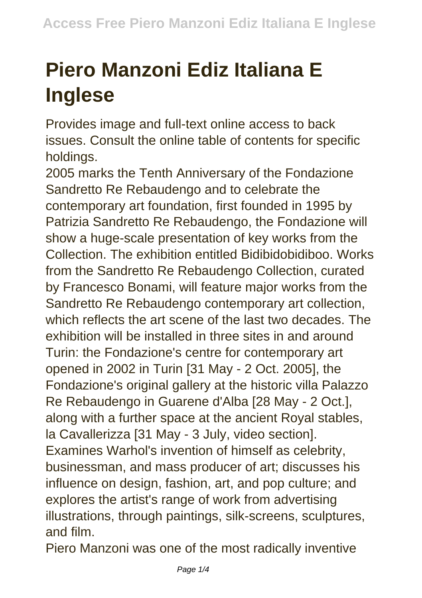## **Piero Manzoni Ediz Italiana E Inglese**

Provides image and full-text online access to back issues. Consult the online table of contents for specific holdings.

2005 marks the Tenth Anniversary of the Fondazione Sandretto Re Rebaudengo and to celebrate the contemporary art foundation, first founded in 1995 by Patrizia Sandretto Re Rebaudengo, the Fondazione will show a huge-scale presentation of key works from the Collection. The exhibition entitled Bidibidobidiboo. Works from the Sandretto Re Rebaudengo Collection, curated by Francesco Bonami, will feature major works from the Sandretto Re Rebaudengo contemporary art collection, which reflects the art scene of the last two decades. The exhibition will be installed in three sites in and around Turin: the Fondazione's centre for contemporary art opened in 2002 in Turin [31 May - 2 Oct. 2005], the Fondazione's original gallery at the historic villa Palazzo Re Rebaudengo in Guarene d'Alba [28 May - 2 Oct.], along with a further space at the ancient Royal stables, la Cavallerizza [31 May - 3 July, video section]. Examines Warhol's invention of himself as celebrity, businessman, and mass producer of art; discusses his influence on design, fashion, art, and pop culture; and explores the artist's range of work from advertising illustrations, through paintings, silk-screens, sculptures, and film.

Piero Manzoni was one of the most radically inventive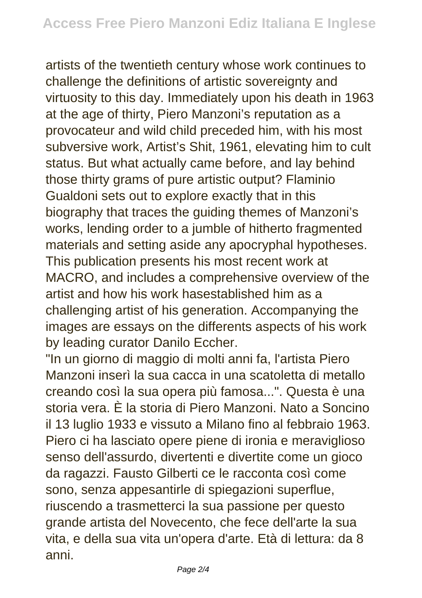artists of the twentieth century whose work continues to challenge the definitions of artistic sovereignty and virtuosity to this day. Immediately upon his death in 1963 at the age of thirty, Piero Manzoni's reputation as a provocateur and wild child preceded him, with his most subversive work, Artist's Shit, 1961, elevating him to cult status. But what actually came before, and lay behind those thirty grams of pure artistic output? Flaminio Gualdoni sets out to explore exactly that in this biography that traces the guiding themes of Manzoni's works, lending order to a jumble of hitherto fragmented materials and setting aside any apocryphal hypotheses. This publication presents his most recent work at MACRO, and includes a comprehensive overview of the artist and how his work hasestablished him as a challenging artist of his generation. Accompanying the images are essays on the differents aspects of his work by leading curator Danilo Eccher.

"In un giorno di maggio di molti anni fa, l'artista Piero Manzoni inserì la sua cacca in una scatoletta di metallo creando così la sua opera più famosa...". Questa è una storia vera. È la storia di Piero Manzoni. Nato a Soncino il 13 luglio 1933 e vissuto a Milano fino al febbraio 1963. Piero ci ha lasciato opere piene di ironia e meraviglioso senso dell'assurdo, divertenti e divertite come un gioco da ragazzi. Fausto Gilberti ce le racconta così come sono, senza appesantirle di spiegazioni superflue, riuscendo a trasmetterci la sua passione per questo grande artista del Novecento, che fece dell'arte la sua vita, e della sua vita un'opera d'arte. Età di lettura: da 8 anni.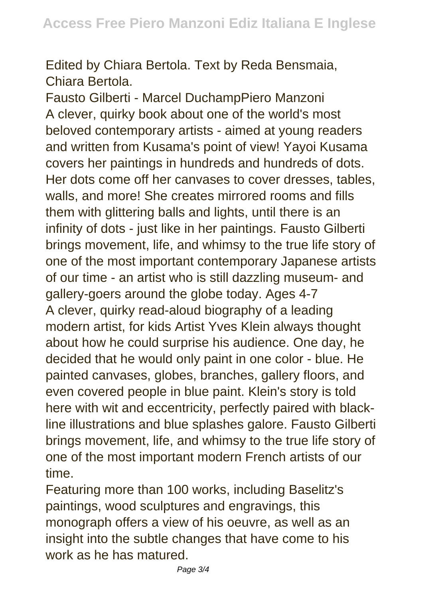Edited by Chiara Bertola. Text by Reda Bensmaia, Chiara Bertola.

Fausto Gilberti - Marcel DuchampPiero Manzoni A clever, quirky book about one of the world's most beloved contemporary artists - aimed at young readers and written from Kusama's point of view! Yayoi Kusama covers her paintings in hundreds and hundreds of dots. Her dots come off her canvases to cover dresses, tables, walls, and more! She creates mirrored rooms and fills them with glittering balls and lights, until there is an infinity of dots - just like in her paintings. Fausto Gilberti brings movement, life, and whimsy to the true life story of one of the most important contemporary Japanese artists of our time - an artist who is still dazzling museum- and gallery-goers around the globe today. Ages 4-7 A clever, quirky read-aloud biography of a leading modern artist, for kids Artist Yves Klein always thought about how he could surprise his audience. One day, he decided that he would only paint in one color - blue. He painted canvases, globes, branches, gallery floors, and even covered people in blue paint. Klein's story is told here with wit and eccentricity, perfectly paired with blackline illustrations and blue splashes galore. Fausto Gilberti brings movement, life, and whimsy to the true life story of one of the most important modern French artists of our time.

Featuring more than 100 works, including Baselitz's paintings, wood sculptures and engravings, this monograph offers a view of his oeuvre, as well as an insight into the subtle changes that have come to his work as he has matured.